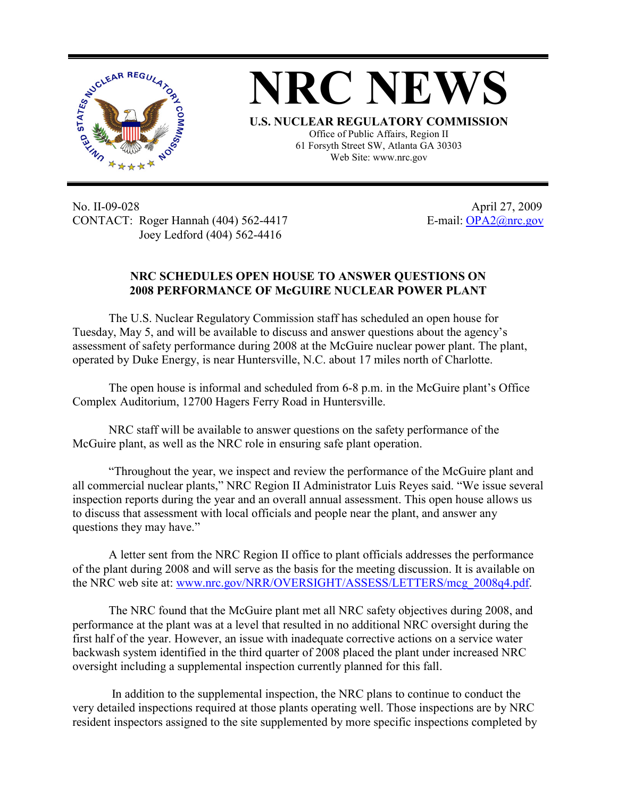



Office of Public Affairs, Region II 61 Forsyth Street SW, Atlanta GA 30303 Web Site: www.nrc.gov

No. II-09-028 April 27, 2009 CONTACT: Roger Hannah (404) 562-4417 E-mail: OPA2@nrc.gov Joey Ledford (404) 562-4416

## **NRC SCHEDULES OPEN HOUSE TO ANSWER QUESTIONS ON 2008 PERFORMANCE OF McGUIRE NUCLEAR POWER PLANT**

The U.S. Nuclear Regulatory Commission staff has scheduled an open house for Tuesday, May 5, and will be available to discuss and answer questions about the agency's assessment of safety performance during 2008 at the McGuire nuclear power plant. The plant, operated by Duke Energy, is near Huntersville, N.C. about 17 miles north of Charlotte.

The open house is informal and scheduled from 6-8 p.m. in the McGuire plant's Office Complex Auditorium, 12700 Hagers Ferry Road in Huntersville.

NRC staff will be available to answer questions on the safety performance of the McGuire plant, as well as the NRC role in ensuring safe plant operation.

"Throughout the year, we inspect and review the performance of the McGuire plant and all commercial nuclear plants," NRC Region II Administrator Luis Reyes said. "We issue several inspection reports during the year and an overall annual assessment. This open house allows us to discuss that assessment with local officials and people near the plant, and answer any questions they may have."

A letter sent from the NRC Region II office to plant officials addresses the performance of the plant during 2008 and will serve as the basis for the meeting discussion. It is available on the NRC web site at: www.nrc.gov/NRR/OVERSIGHT/ASSESS/LETTERS/mcg\_2008q4.pdf.

The NRC found that the McGuire plant met all NRC safety objectives during 2008, and performance at the plant was at a level that resulted in no additional NRC oversight during the first half of the year. However, an issue with inadequate corrective actions on a service water backwash system identified in the third quarter of 2008 placed the plant under increased NRC oversight including a supplemental inspection currently planned for this fall.

 In addition to the supplemental inspection, the NRC plans to continue to conduct the very detailed inspections required at those plants operating well. Those inspections are by NRC resident inspectors assigned to the site supplemented by more specific inspections completed by